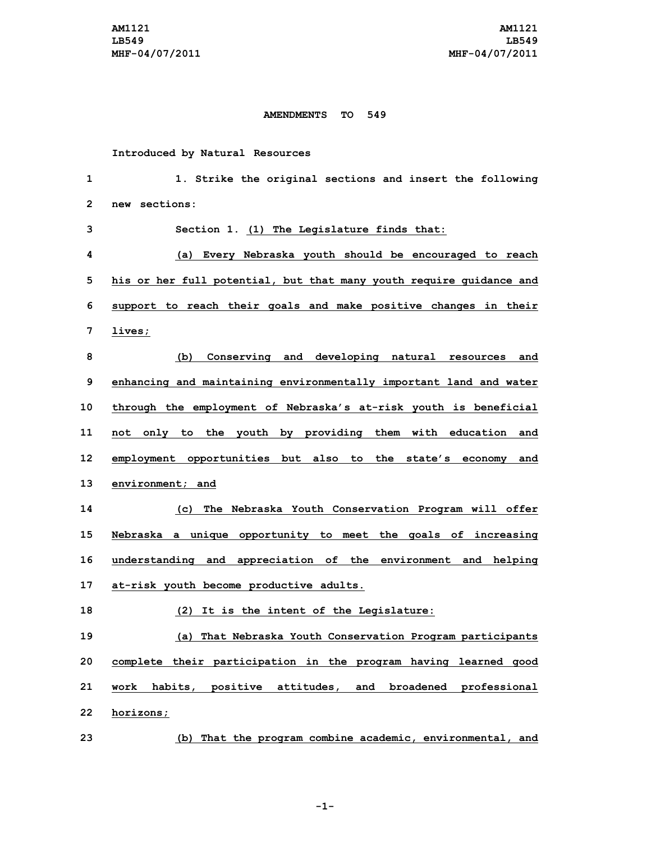## **AMENDMENTS TO 549**

**Introduced by Natural Resources**

| 1            | 1. Strike the original sections and insert the following            |
|--------------|---------------------------------------------------------------------|
| $\mathbf{2}$ | new sections:                                                       |
| 3            | Section 1. (1) The Legislature finds that:                          |
| 4            | (a) Every Nebraska youth should be encouraged to reach              |
| 5            | his or her full potential, but that many youth require guidance and |
| 6            | support to reach their goals and make positive changes in their     |
| 7            | lives;                                                              |
| 8            | (b) Conserving and developing natural resources and                 |
| 9            | enhancing and maintaining environmentally important land and water  |
| 10           | through the employment of Nebraska's at-risk youth is beneficial    |
| 11           | not only to the youth by providing them with education and          |
| 12           | employment opportunities but also to the state's economy and        |
| 13           | environment; and                                                    |
| 14           | (c) The Nebraska Youth Conservation Program will offer              |
| 15           | Nebraska a unique opportunity to meet the goals of increasing       |
| 16           | understanding and appreciation of the environment and helping       |
| 17           | at-risk youth become productive adults.                             |
| 18           | (2) It is the intent of the Legislature:                            |
| 19           | (a) That Nebraska Youth Conservation Program participants           |
| 20           | complete their participation in the program having learned good     |
| 21           | work habits, positive attitudes, and broadened professional         |
| 22           | horizons;                                                           |
| 23           | (b) That the program combine academic, environmental, and           |

**-1-**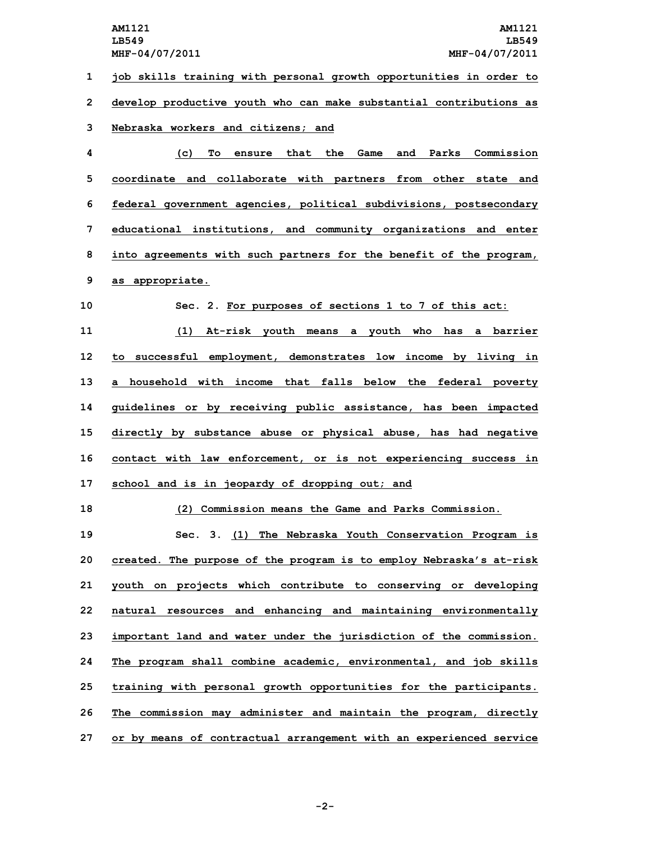**job skills training with personal growth opportunities in order to develop productive youth who can make substantial contributions as Nebraska workers and citizens; and (c) To ensure that the Game and Parks Commission coordinate and collaborate with partners from other state and federal government agencies, political subdivisions, postsecondary educational institutions, and community organizations and enter into agreements with such partners for the benefit of the program, as appropriate. Sec. 2. For purposes of sections 1 to 7 of this act: (1) At-risk youth means <sup>a</sup> youth who has <sup>a</sup> barrier to successful employment, demonstrates low income by living in <sup>a</sup> household with income that falls below the federal poverty guidelines or by receiving public assistance, has been impacted directly by substance abuse or physical abuse, has had negative contact with law enforcement, or is not experiencing success in school and is in jeopardy of dropping out; and (2) Commission means the Game and Parks Commission. Sec. 3. (1) The Nebraska Youth Conservation Program is created. The purpose of the program is to employ Nebraska's at-risk youth on projects which contribute to conserving or developing natural resources and enhancing and maintaining environmentally important land and water under the jurisdiction of the commission. The program shall combine academic, environmental, and job skills training with personal growth opportunities for the participants. The commission may administer and maintain the program, directly or by means of contractual arrangement with an experienced service**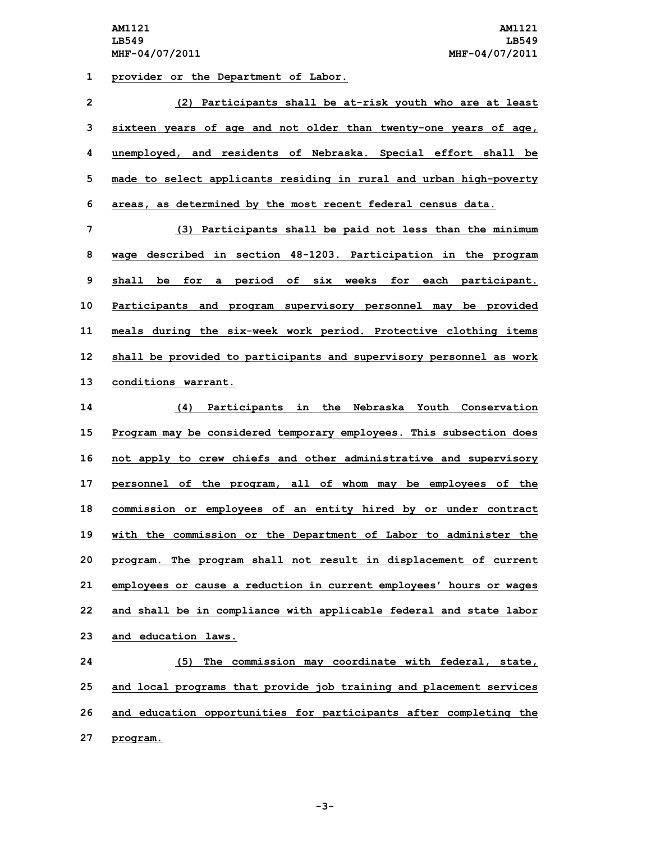**1 provider or the Department of Labor.**

| $\overline{2}$ | (2) Participants shall be at-risk youth who are at least            |
|----------------|---------------------------------------------------------------------|
| 3              | sixteen years of age and not older than twenty-one years of age,    |
| 4              | unemployed, and residents of Nebraska. Special effort shall be      |
| 5              | made to select applicants residing in rural and urban high-poverty  |
| 6              | areas, as determined by the most recent federal census data.        |
| 7              | (3) Participants shall be paid not less than the minimum            |
| 8              | wage described in section 48-1203. Participation in the program     |
| 9              | for a period of six weeks for each participant.<br>shall be         |
| 10             | Participants and program supervisory personnel may be provided      |
| 11             | meals during the six-week work period. Protective clothing items    |
| 12             | shall be provided to participants and supervisory personnel as work |
|                |                                                                     |

**13 conditions warrant.**

 **(4) Participants in the Nebraska Youth Conservation Program may be considered temporary employees. This subsection does not apply to crew chiefs and other administrative and supervisory personnel of the program, all of whom may be employees of the commission or employees of an entity hired by or under contract with the commission or the Department of Labor to administer the program. The program shall not result in displacement of current employees or cause <sup>a</sup> reduction in current employees' hours or wages and shall be in compliance with applicable federal and state labor and education laws.**

 **(5) The commission may coordinate with federal, state, and local programs that provide job training and placement services and education opportunities for participants after completing the 27 program.**

**-3-**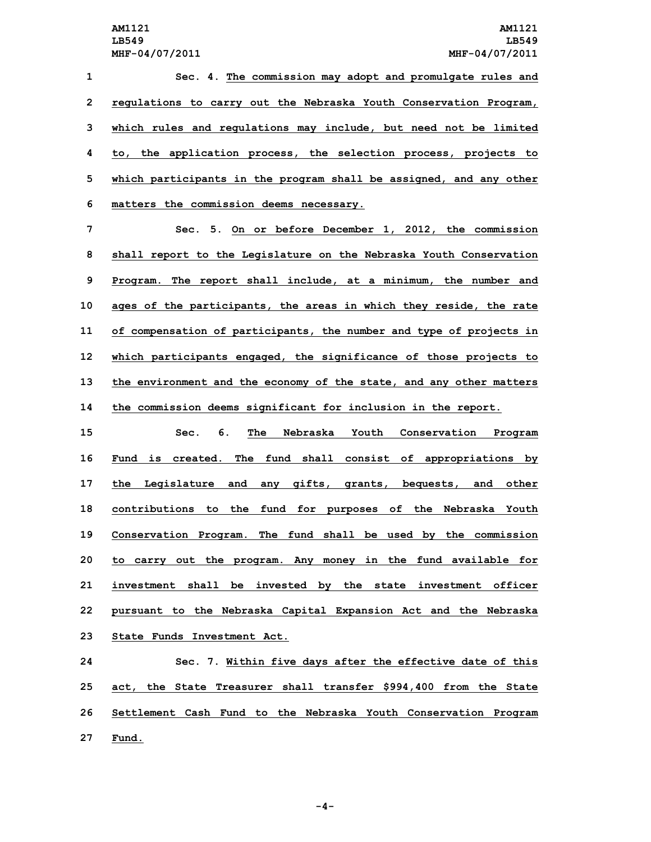**Sec. 4. The commission may adopt and promulgate rules and regulations to carry out the Nebraska Youth Conservation Program, which rules and regulations may include, but need not be limited to, the application process, the selection process, projects to which participants in the program shall be assigned, and any other matters the commission deems necessary.**

 **Sec. 5. On or before December 1, 2012, the commission shall report to the Legislature on the Nebraska Youth Conservation Program. The report shall include, at <sup>a</sup> minimum, the number and ages of the participants, the areas in which they reside, the rate of compensation of participants, the number and type of projects in which participants engaged, the significance of those projects to the environment and the economy of the state, and any other matters the commission deems significant for inclusion in the report.**

 **Sec. 6. The Nebraska Youth Conservation Program Fund is created. The fund shall consist of appropriations by the Legislature and any gifts, grants, bequests, and other contributions to the fund for purposes of the Nebraska Youth Conservation Program. The fund shall be used by the commission to carry out the program. Any money in the fund available for investment shall be invested by the state investment officer pursuant to the Nebraska Capital Expansion Act and the Nebraska State Funds Investment Act.**

 **Sec. 7. Within five days after the effective date of this act, the State Treasurer shall transfer \$994,400 from the State Settlement Cash Fund to the Nebraska Youth Conservation Program 27 Fund.**

**-4-**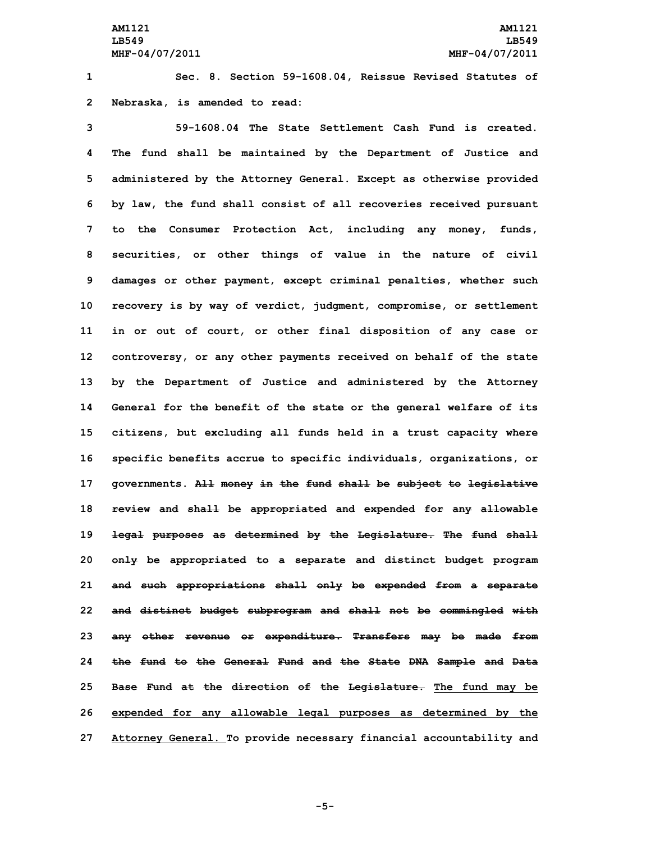**1 Sec. 8. Section 59-1608.04, Reissue Revised Statutes of 2 Nebraska, is amended to read:**

 **59-1608.04 The State Settlement Cash Fund is created. The fund shall be maintained by the Department of Justice and administered by the Attorney General. Except as otherwise provided by law, the fund shall consist of all recoveries received pursuant to the Consumer Protection Act, including any money, funds, securities, or other things of value in the nature of civil damages or other payment, except criminal penalties, whether such recovery is by way of verdict, judgment, compromise, or settlement in or out of court, or other final disposition of any case or controversy, or any other payments received on behalf of the state by the Department of Justice and administered by the Attorney General for the benefit of the state or the general welfare of its citizens, but excluding all funds held in <sup>a</sup> trust capacity where specific benefits accrue to specific individuals, organizations, or governments. All money in the fund shall be subject to legislative review and shall be appropriated and expended for any allowable legal purposes as determined by the Legislature. The fund shall only be appropriated to <sup>a</sup> separate and distinct budget program and such appropriations shall only be expended from <sup>a</sup> separate and distinct budget subprogram and shall not be commingled with any other revenue or expenditure. Transfers may be made from the fund to the General Fund and the State DNA Sample and Data Base Fund at the direction of the Legislature. The fund may be expended for any allowable legal purposes as determined by the Attorney General. To provide necessary financial accountability and**

**-5-**